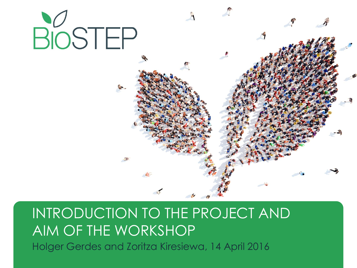

#### INTRODUCTION TO THE PROJECT AND AIM OF THE WORKSHOP Holger Gerdes and Zoritza Kiresiewa, 14 April 2016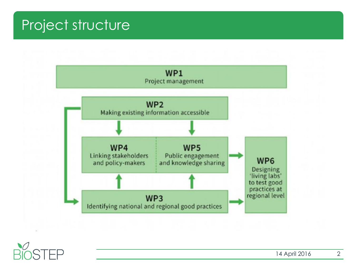#### Project structure



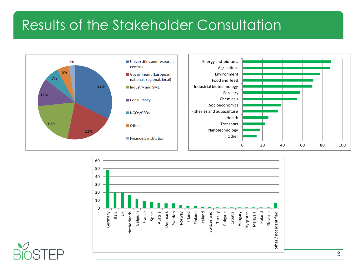### Results of the Stakeholder Consultation





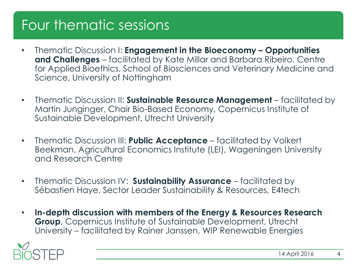# Four thematic sessions

- Thematic Discussion I: **Engagement in the Bioeconomy – Opportunities and Challenges** – facilitated by Kate Millar and Barbara Ribeiro, Centre for Applied Bioethics, School of Biosciences and Veterinary Medicine and Science, University of Nottingham
- Thematic Discussion II: **Sustainable Resource Management** facilitated by Martin Junginger, Chair Bio-Based Economy, Copernicus Institute of Sustainable Development, Utrecht University
- Thematic Discussion III: **Public Acceptance**  facilitated by Volkert Beekman, Agricultural Economics Institute (LEI), Wageningen University and Research Centre
- Thematic Discussion IV: **Sustainability Assurance**  facilitated by Sébastien Haye, Sector Leader Sustainability & Resources, E4tech
- **In-depth discussion with members of the Energy & Resources Research Group**, Copernicus Institute of Sustainable Development, Utrecht University – facilitated by Rainer Janssen, WIP Renewable Energies

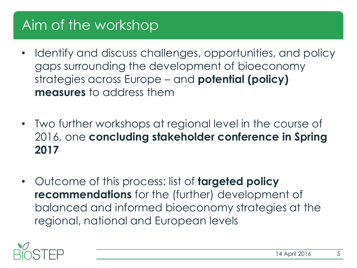## Aim of the workshop

- Identify and discuss challenges, opportunities, and policy gaps surrounding the development of bioeconomy strategies across Europe – and **potential (policy) measures** to address them
- Two further workshops at regional level in the course of 2016, one **concluding stakeholder conference in Spring 2017**
- Outcome of this process: list of **targeted policy recommendations** for the (further) development of balanced and informed bioeconomy strategies at the regional, national and European levels